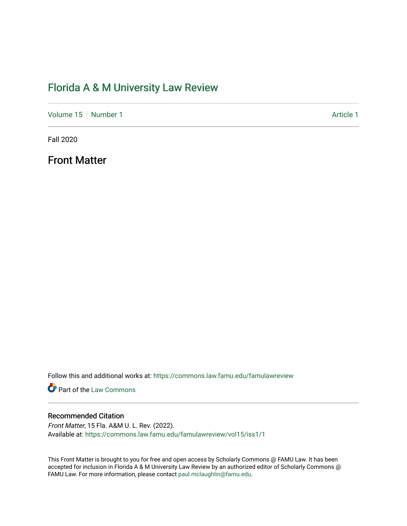## [Florida A & M University Law Review](https://commons.law.famu.edu/famulawreview)

[Volume 15](https://commons.law.famu.edu/famulawreview/vol15) [Number 1](https://commons.law.famu.edu/famulawreview/vol15/iss1) Article 1

Fall 2020

Front Matter

Follow this and additional works at: [https://commons.law.famu.edu/famulawreview](https://commons.law.famu.edu/famulawreview?utm_source=commons.law.famu.edu%2Ffamulawreview%2Fvol15%2Fiss1%2F1&utm_medium=PDF&utm_campaign=PDFCoverPages) 

**Part of the [Law Commons](http://network.bepress.com/hgg/discipline/578?utm_source=commons.law.famu.edu%2Ffamulawreview%2Fvol15%2Fiss1%2F1&utm_medium=PDF&utm_campaign=PDFCoverPages)** 

### Recommended Citation

Front Matter, 15 Fla. A&M U. L. Rev. (2022). Available at: [https://commons.law.famu.edu/famulawreview/vol15/iss1/1](https://commons.law.famu.edu/famulawreview/vol15/iss1/1?utm_source=commons.law.famu.edu%2Ffamulawreview%2Fvol15%2Fiss1%2F1&utm_medium=PDF&utm_campaign=PDFCoverPages)

This Front Matter is brought to you for free and open access by Scholarly Commons @ FAMU Law. It has been accepted for inclusion in Florida A & M University Law Review by an authorized editor of Scholarly Commons @ FAMU Law. For more information, please contact [paul.mclaughlin@famu.edu.](mailto:paul.mclaughlin@famu.edu)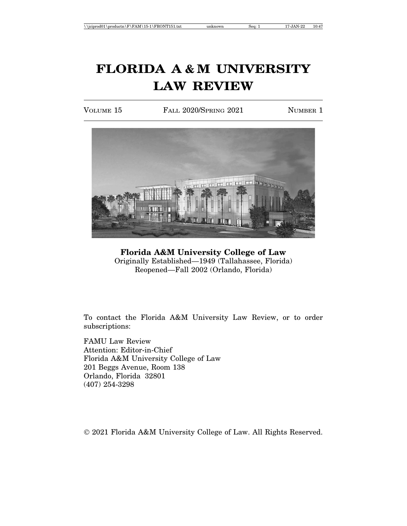VOLUME 15 FALL 2020/SPRING 2021 NUMBER 1



**Florida A&M University College of Law** Originally Established—1949 (Tallahassee, Florida) Reopened—Fall 2002 (Orlando, Florida)

To contact the Florida A&M University Law Review, or to order subscriptions:

FAMU Law Review Attention: Editor-in-Chief Florida A&M University College of Law 201 Beggs Avenue, Room 138 Orlando, Florida 32801 (407) 254-3298

© 2021 Florida A&M University College of Law. All Rights Reserved.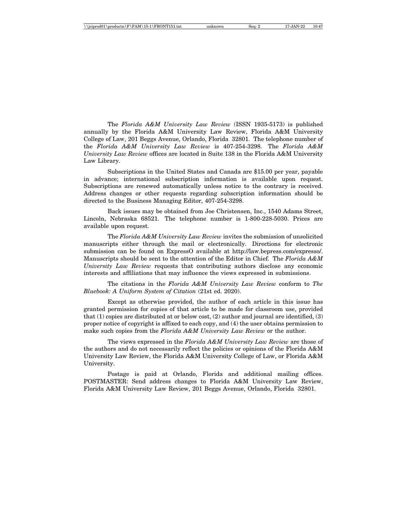| $\rightarrow$ \igiprod01\productn\F\FAM\15-1\FRONT151.txt | unknown | Sea: 2 | 17-JAN-22 | 10:47 |
|-----------------------------------------------------------|---------|--------|-----------|-------|
|-----------------------------------------------------------|---------|--------|-----------|-------|

The *Florida A&M University Law Review* (ISSN 1935-5173) is published annually by the Florida A&M University Law Review, Florida A&M University College of Law, 201 Beggs Avenue, Orlando, Florida 32801. The telephone number of the *Florida A&M University Law Review* is 407-254-3298. The *Florida A&M University Law Review* offices are located in Suite 138 in the Florida A&M University Law Library.

Subscriptions in the United States and Canada are \$15.00 per year, payable in advance; international subscription information is available upon request. Subscriptions are renewed automatically unless notice to the contrary is received. Address changes or other requests regarding subscription information should be directed to the Business Managing Editor, 407-254-3298.

Back issues may be obtained from Joe Christensen, Inc., 1540 Adams Street, Lincoln, Nebraska 68521. The telephone number is 1-800-228-5030. Prices are available upon request.

The *Florida A&M University Law Review* invites the submission of unsolicited manuscripts either through the mail or electronically. Directions for electronic submission can be found on ExpressO available at http://law.bepress.com/expresso/. Manuscripts should be sent to the attention of the Editor in Chief. The *Florida A&M University Law Review* requests that contributing authors disclose any economic interests and affiliations that may influence the views expressed in submissions.

The citations in the *Florida A&M University Law Review* conform to *The Bluebook: A Uniform System of Citation* (21st ed. 2020).

Except as otherwise provided, the author of each article in this issue has granted permission for copies of that article to be made for classroom use, provided that (1) copies are distributed at or below cost, (2) author and journal are identified, (3) proper notice of copyright is affixed to each copy, and (4) the user obtains permission to make such copies from the *Florida A&M University Law Review* or the author.

The views expressed in the *Florida A&M University Law Review* are those of the authors and do not necessarily reflect the policies or opinions of the Florida A&M University Law Review, the Florida A&M University College of Law, or Florida A&M University.

Postage is paid at Orlando, Florida and additional mailing offices. POSTMASTER: Send address changes to Florida A&M University Law Review, Florida A&M University Law Review, 201 Beggs Avenue, Orlando, Florida 32801.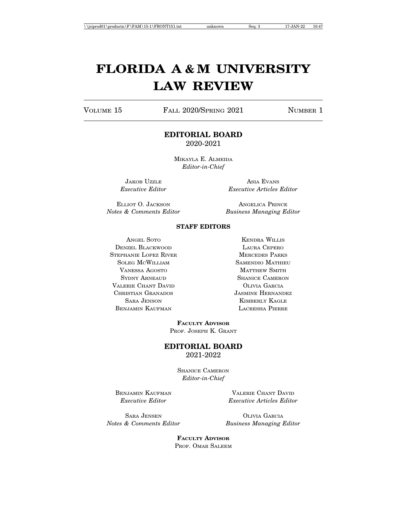VOLUME 15 FALL 2020/SPRING 2021 NUMBER 1

### **EDITORIAL BOARD** 2020-2021

MIKAYLA E. ALMEIDA *Editor-in-Chief*

JAKOB UZZLE ASIA EVANS

*Executive Editor Executive Articles Editor*

*Notes & Comments Editor Business Managing Editor*

ELLIOT O. JACKSON ANGELICA PRINCE

#### **STAFF EDITORS**

ANGEL SOTO KENDRA WILLIS DENZEL BLACKWOOD LAURA CEPERO STEPHANIE LOPEZ RIVER MERCEDES PARKS SOLEG MCWILLIAM SAMENDIO MATHIEU VANESSA AGOSTO MATTHEW SMITH SYDNY ARNEAUD SHANICE CAMERON VALERIE CHANT DAVID **OLIVIA GARCIA** CHRISTIAN GRANADOS JASMINE HERNANDEZ BENJAMIN KAUFMAN LACRESHA PIERRE

SARA JENSON KIMBERLY KAGLE

**FACULTY ADVISOR** PROF. JOSEPH K. GRANT

#### **EDITORIAL BOARD** 2021-2022

SHANICE CAMERON *Editor-in-Chief*

BENJAMIN KAUFMAN VALERIE CHANT DAVID *Executive Editor Executive Articles Editor*

SARA JENSEN OLIVIA GARCIA

*Notes & Comments Editor Business Managing Editor*

**FACULTY ADVISOR** PROF. OMAR SALEEM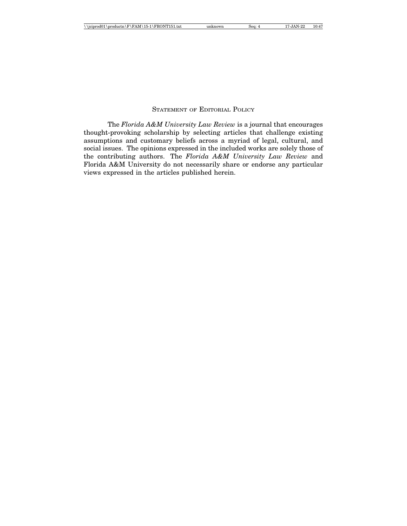### STATEMENT OF EDITORIAL POLICY

The *Florida A&M University Law Review* is a journal that encourages thought-provoking scholarship by selecting articles that challenge existing assumptions and customary beliefs across a myriad of legal, cultural, and social issues. The opinions expressed in the included works are solely those of the contributing authors. The *Florida A&M University Law Review* and Florida A&M University do not necessarily share or endorse any particular views expressed in the articles published herein.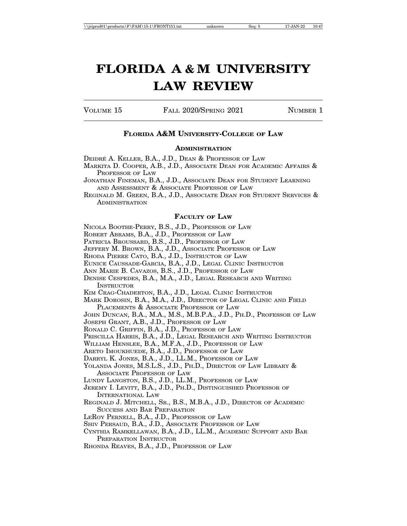VOLUME 15 FALL 2020/SPRING 2021 NUMBER 1

### **FLORIDA A&M UNIVERSITY-COLLEGE OF LAW**

#### **ADMINISTRATION**

DEIDRÉ A. KELLER, B.A., J.D., DEAN & PROFESSOR OF LAW

MARKITA D. COOPER, A.B., J.D., ASSOCIATE DEAN FOR ACADEMIC AFFAIRS & PROFESSOR OF LAW

JONATHAN FINEMAN, B.A., J.D., ASSOCIATE DEAN FOR STUDENT LEARNING AND ASSESSMENT & ASSOCIATE PROFESSOR OF LAW

#### **FACULTY OF LAW**

NICOLA BOOTHE-PERRY, B.S., J.D., PROFESSOR OF LAW

ROBERT ABRAMS, B.A., J.D., PROFESSOR OF LAW

PATRICIA BROUSSARD, B.S., J.D., PROFESSOR OF LAW

JEFFERY M. BROWN, B.A., J.D., ASSOCIATE PROFESSOR OF LAW

RHODA PIERRE CATO, B.A., J.D., INSTRUCTOR OF LAW

EUNICE CAUSSADE-GARCIA, B.A., J.D., LEGAL CLINIC INSTRUCTOR

ANN MARIE B. CAVAZOS, B.S., J.D., PROFESSOR OF LAW

DENISE CESPEDES, B.A., M.A., J.D., LEGAL RESEARCH AND WRITING **INSTRUCTOR** 

KIM CRAG-CHADERTON, B.A., J.D., LEGAL CLINIC INSTRUCTOR

MARK DOROSIN, B.A., M.A., J.D., DIRECTOR OF LEGAL CLINIC AND FIELD PLACEMENTS & ASSOCIATE PROFESSOR OF LAW

JOHN DUNCAN, B.A., M.A., M.S., M.B.P.A., J.D., PH.D., PROFESSOR OF LAW

JOSEPH GRANT, A.B., J.D., PROFESSOR OF LAW

RONALD C. GRIFFIN, B.A., J.D., PROFESSOR OF LAW

PRISCILLA HARRIS, B.A., J.D., LEGAL RESEARCH AND WRITING INSTRUCTOR

WILLIAM HENSLEE, B.A., M.F.A., J.D., PROFESSOR OF LAW

ARETO IMOUKHUEDE, B.A., J.D., PROFESSOR OF LAW

DARRYL K. JONES, B.A., J.D., LL.M., PROFESSOR OF LAW

YOLANDA JONES, M.S.L.S., J.D., PH.D., DIRECTOR OF LAW LIBRARY & ASSOCIATE PROFESSOR OF LAW

LUNDY LANGSTON, B.S., J.D., LL.M., PROFESSOR OF LAW

JEREMY I. LEVITT, B.A., J.D., PH.D., DISTINGUISHED PROFESSOR OF INTERNATIONAL LAW

REGINALD J. MITCHELL, SR., B.S., M.B.A., J.D., DIRECTOR OF ACADEMIC SUCCESS AND BAR PREPARATION

LEROY PERNELL, B.A., J.D., PROFESSOR OF LAW

SHIV PERSAUD, B.A., J.D., ASSOCIATE PROFESSOR OF LAW

CYNTHIA RAMKELLAWAN, B.A., J.D., LL.M., ACADEMIC SUPPORT AND BAR PREPARATION INSTRUCTOR

RHONDA REAVES, B.A., J.D., PROFESSOR OF LAW

REGINALD M. GREEN, B.A., J.D., ASSOCIATE DEAN FOR STUDENT SERVICES & **ADMINISTRATION**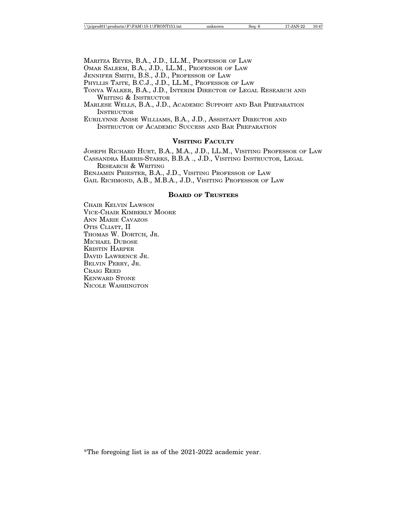MARITZA REYES, B.A., J.D., LL.M., PROFESSOR OF LAW

OMAR SALEEM, B.A., J.D., LL.M., PROFESSOR OF LAW

JENNIFER SMITH, B.S., J.D., PROFESSOR OF LAW

PHYLLIS TAITE, B.C.J., J.D., LL.M., PROFESSOR OF LAW

TONYA WALKER, B.A., J.D., INTERIM DIRECTOR OF LEGAL RESEARCH AND WRITING & INSTRUCTOR

MARLESE WELLS, B.A., J.D., ACADEMIC SUPPORT AND BAR PREPARATION **INSTRUCTOR** 

EURILYNNE ANISE WILLIAMS, B.A., J.D., ASSISTANT DIRECTOR AND INSTRUCTOR OF ACADEMIC SUCCESS AND BAR PREPARATION

#### **VISITING FACULTY**

JOSEPH RICHARD HURT, B.A., M.A., J.D., LL.M., VISITING PROFESSOR OF LAW CASSANDRA HARRIS-STARKS, B.B.A ., J.D., VISITING INSTRUCTOR, LEGAL RESEARCH & WRITING

BENJAMIN PRIESTER, B.A., J.D., VISITING PROFESSOR OF LAW GAIL RICHMOND, A.B., M.B.A., J.D., VISITING PROFESSOR OF LAW

#### **BOARD OF TRUSTEES**

CHAIR KELVIN LAWSON VICE-CHAIR KIMBERLY MOORE ANN MARIE CAVAZOS OTIS CLIATT, II THOMAS W. DORTCH, JR. MICHAEL DUBOSE KRISTIN HARPER DAVID LAWRENCE JR. BELVIN PERRY, JR. CRAIG REED KENWARD STONE NICOLE WASHINGTON

\*The foregoing list is as of the 2021-2022 academic year.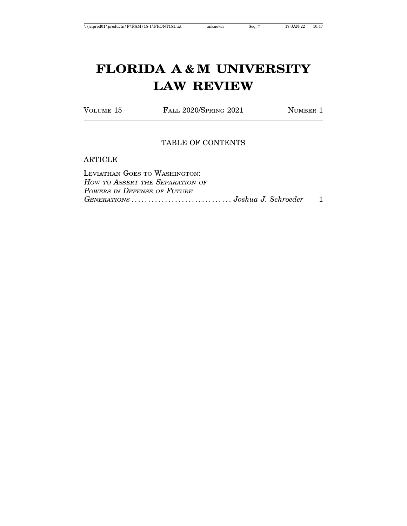VOLUME 15 FALL 2020/SPRING 2021 NUMBER 1

## TABLE OF CONTENTS

### ARTICLE

| Leviathan Goes to Washington:   |  |
|---------------------------------|--|
| How to Assert the Separation of |  |
| Powers in Defense of Future     |  |
|                                 |  |